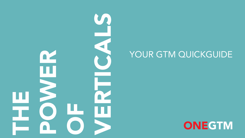

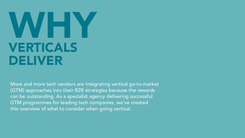### VERTICALS DELIVER WHY

More and more tech vendors are integrating vertical go-to-market (GTM) approaches into their B2B strategies because the rewards can be outstanding. As a specialist agency delivering successful GTM programmes for leading tech companies, we've created this overview of what to consider when going vertical.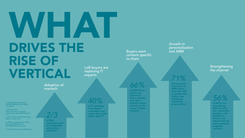### DRIVES THE RISE OF VERTICAL WHAT LoB buyers are replacing IT experts

Adoption of martech

*of B2B* 

*2/3*

*companies now use marketing automation platforms1*

*1. Sagefrog Marketing Group, 2020 B2B Marketing Mix Report, 13th Edition*

*2. IDC May 2019 https://www.idc.com/getdoc. jsp?container-Id=prEUR145101219*

*3. 2017 Content Preferences Survey Report, Demand Gen*

*4. ITSMA and Demandbase (2019). Moving to ABM Maturity: 2019 ABM Benchmark Study*

*5. Datto 2019 state of the MSP report* 

*of IT spending in European 40%*

*companies now comes from LOB rather than IT2*

Buyers want content specific to them

> *of B2B buyers said it was important that a solution provider's website spoke directly to the needs of their industry3 66%*

Growth in personalisation and ABM

*of companies that invest in ABM report that their ROI*  is significantly *higher than traditional marketing programmes4 71%*

**Strengthening** the channel

*56%*

*of MSPs are specialising their services for a particular industry, with healthcare,*  finance and *legal being the most popularly targeted verticals5*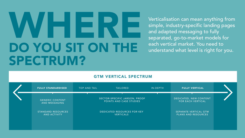### DO YOU SIT ON THE SPECTRUM? WHERE

Verticalisation can mean anything from simple, industry-specific landing pages and adapted messaging to fully separated, go-to-market models for each vertical market. You need to understand what level is right for you.

### GTM VERTICAL SPECTRUM

| <b>FULLY STANDARDISED</b>                        | <b>TOP AND TAIL</b>                                    | <b>TAILORED</b>                                          | IN-DEPTH                                            | <b>FULLY VERTICAL</b>                              |  |
|--------------------------------------------------|--------------------------------------------------------|----------------------------------------------------------|-----------------------------------------------------|----------------------------------------------------|--|
| <b>GENERIC CONTENT</b><br>AND MESSAGING          |                                                        | SECTOR-SPECIFIC JARGON, PROOF<br>POINTS AND CASE STUDIES |                                                     | DEDICATED, NEW CONTENT<br><b>FOR EACH VERTICAL</b> |  |
| <b>STANDARD RESOURCES</b><br><b>AND ACTIVITY</b> | <b>DEDICATED RESOURCES FOR KEY</b><br><b>VERTICALS</b> |                                                          | SEPARATE VERTICAL GTM<br><b>PLANS AND RESOURCES</b> |                                                    |  |
|                                                  |                                                        |                                                          |                                                     |                                                    |  |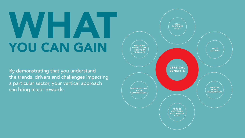### YOU CAN GAIN WHAT

By demonstrating that you understand the trends, drivers and challenges impacting a particular sector, your vertical approach can bring major rewards.

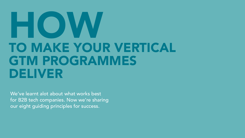### TO MAKE YOUR VERTICAL GTM PROGRAMMES DELIVER HOW

We've learnt alot about what works best for B2B tech companies. Now we're sharing our eight guiding principles for success.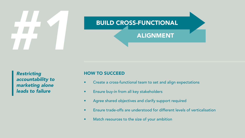# **EUILD CROSS-FUNCTIONAL**

### ALIGNMENT

*Restricting accountability to marketing alone leads to failure*

- Create a cross-functional team to set and align expectations
- Ensure buy-in from all key stakeholders
- Agree shared objectives and clarify support required
- Ensure trade-offs are understood for different levels of verticalisation
- Match resources to the size of your ambition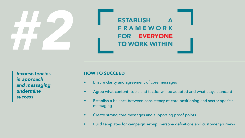**ESTABLISH** F R A M E W O R K FOR EVERYONE TO WORK WITHIN

*Inconsistencies in approach and messaging undermine success*

- Ensure clarity and agreement of core messages
- Agree what content, tools and tactics will be adapted and what stays standard
- Establish a balance between consistency of core positioning and sector-specific messaging
- Create strong core messages and supporting proof points
- Build templates for campaign set-up, persona definitions and customer journeys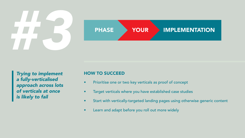

*Trying to implement a fully-verticalised approach across lots of verticals at once is likely to fail*

- Prioritise one or two key verticals as proof of concept
- Target verticals where you have established case studies
- Start with vertically-targeted landing pages using otherwise generic content
- Learn and adapt before you roll out more widely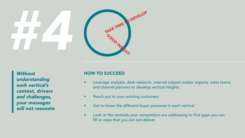### *#4* TAKE TIME TO DEVELOP GOOD INSIGHT

*Without understanding each vertical's context, drivers and challenges, your messages will not resonate*

- Leverage analysts, desk-research, internal subject matter experts, sales teams and channel partners to develop vertical insights
- Reach out to your existing customers
- Get to know the different buyer personas in each vertical
- Look at the verticals your competitors are addressing to find gaps you can fill or ways that you can out-deliver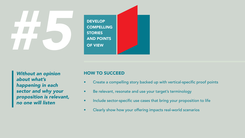

*Without an opinion about what's happening in each sector and why your proposition is relevant, no one will listen* 

- Create a compelling story backed up with vertical-specific proof points
- Be relevant, resonate and use your target's terminology
- Include sector-specific use cases that bring your proposition to life
- Clearly show how your offering impacts real-world scenarios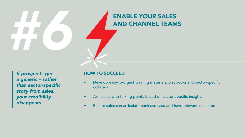# ENABLE YOUR SALES<br>AND CHANNEL TEAM

AND CHANNEL TEAMS

*If prospects get a generic – rather*  than sector-specific *story from sales, your credibility disappears*

- Develop easy-to-digest training materials, playbooks and sector-specific collateral
- Arm sales with talking points based on sector-specific insights
- Ensure sales can articulate each use case and have relevant case studies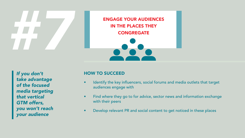ENGAGE YOUR AUDIENCES IN THE PLACES THEY **CONGREGATE** 

*If you don't take advantage of the focused media targeting that vertical GTM offers, you won't reach your audience*

- Identify the key influencers, social forums and media outlets that target audiences engage with
- Find where they go to for advice, sector news and information exchange with their peers
- Develop relevant PR and social content to get noticed in these places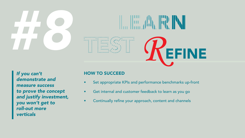





*If you can't demonstrate and measure success to prove the concept and justify investment, you won't get to roll-out more verticals*

- Set appropriate KPIs and performance benchmarks up-front
- Get internal and customer feedback to learn as you go
- Continually refine your approach, content and channels